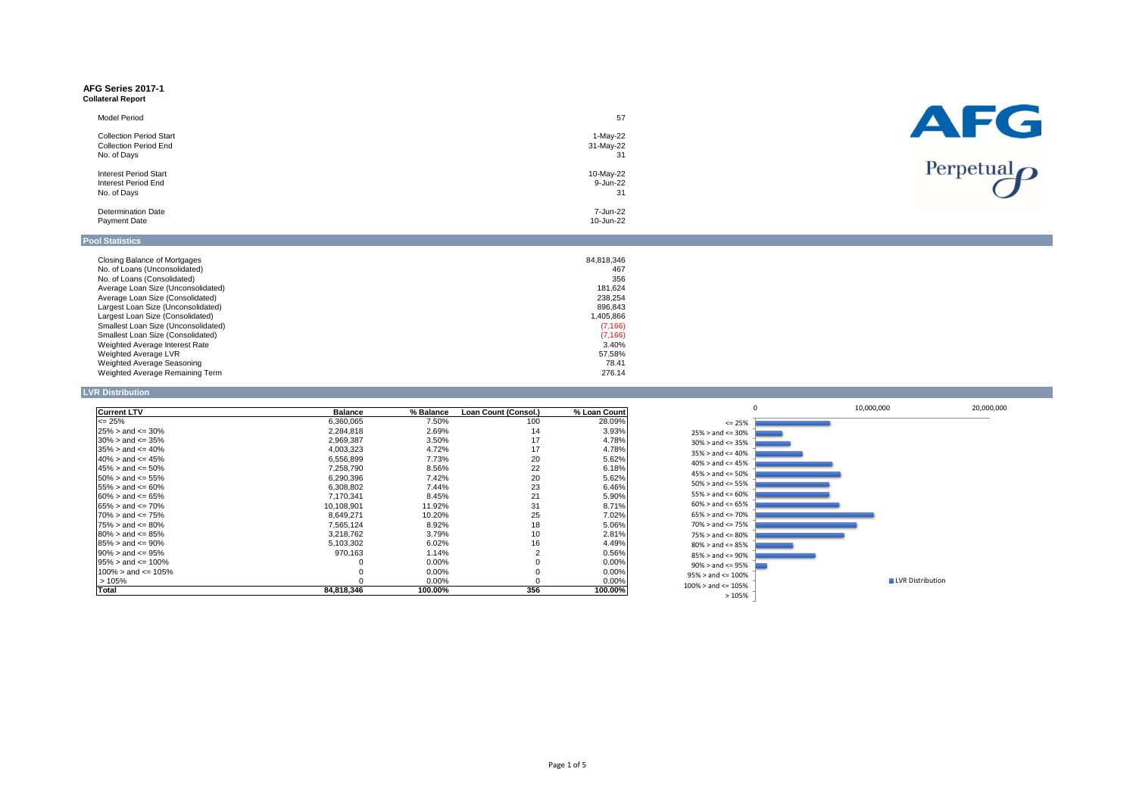#### **AFG Series 2017-1 Collateral Report**

| <b>Model Period</b>            | 57              | AFG                |
|--------------------------------|-----------------|--------------------|
| <b>Collection Period Start</b> | 1-May-22        |                    |
| <b>Collection Period End</b>   | 31-May-22<br>31 |                    |
| No. of Days                    |                 |                    |
| <b>Interest Period Start</b>   | 10-May-22       | Perpetual $\Omega$ |
| Interest Period End            | 9-Jun-22        |                    |
| No. of Days                    | 31              |                    |
| <b>Determination Date</b>      | 7-Jun-22        |                    |
| Payment Date                   | 10-Jun-22       |                    |

## **Pool Statistics**

| Closing Balance of Mortgages        | 84.818.346 |
|-------------------------------------|------------|
|                                     |            |
| No. of Loans (Unconsolidated)       | 467        |
| No. of Loans (Consolidated)         | 356        |
| Average Loan Size (Unconsolidated)  | 181.624    |
| Average Loan Size (Consolidated)    | 238.254    |
| Largest Loan Size (Unconsolidated)  | 896.843    |
| Largest Loan Size (Consolidated)    | 1.405.866  |
| Smallest Loan Size (Unconsolidated) | (7, 166)   |
| Smallest Loan Size (Consolidated)   | (7, 166)   |
| Weighted Average Interest Rate      | 3.40%      |
| Weighted Average LVR                | 57.58%     |
| Weighted Average Seasoning          | 78.41      |
| Weighted Average Remaining Term     | 276.14     |
|                                     |            |

## **LVR Distribution**

| <b>Current LTV</b>         | <b>Balance</b> | % Balance | Loan Count (Consol.) | % Loan Count |
|----------------------------|----------------|-----------|----------------------|--------------|
| $\leq$ 25%                 | 6,360,065      | 7.50%     | 100                  | 28.09%       |
| $25\% >$ and $\leq 30\%$   | 2,284,818      | 2.69%     | 14                   | 3.93%        |
| $30\% >$ and $\leq$ $35\%$ | 2,969,387      | 3.50%     | 17                   | 4.78%        |
| $35\% >$ and $\leq 40\%$   | 4,003,323      | 4.72%     | 17                   | 4.78%        |
| $40\% >$ and $\leq 45\%$   | 6.556.899      | 7.73%     | 20                   | 5.62%        |
| $45\% >$ and $\leq 50\%$   | 7,258,790      | 8.56%     | 22                   | 6.18%        |
| $50\% >$ and $\leq 55\%$   | 6,290,396      | 7.42%     | 20                   | 5.62%        |
| $55\% >$ and $\leq 60\%$   | 6,308,802      | 7.44%     | 23                   | 6.46%        |
| $60\% >$ and $\leq 65\%$   | 7.170.341      | 8.45%     | 21                   | 5.90%        |
| $65\% >$ and $\leq 70\%$   | 10.108.901     | 11.92%    | 31                   | 8.71%        |
| $70\% >$ and $\leq 75\%$   | 8.649.271      | 10.20%    | 25                   | 7.02%        |
| $75\% >$ and $\leq 80\%$   | 7,565,124      | 8.92%     | 18                   | 5.06%        |
| $80\% >$ and $\leq 85\%$   | 3,218,762      | 3.79%     | 10                   | 2.81%        |
| $85\% >$ and $\leq 90\%$   | 5.103.302      | 6.02%     | 16                   | 4.49%        |
| $90\%$ > and <= 95%        | 970.163        | 1.14%     |                      | 0.56%        |
| $95\% >$ and $\leq 100\%$  |                | $0.00\%$  |                      | 0.00%        |
| $100\% >$ and $\leq 105\%$ |                | $0.00\%$  |                      | 0.00%        |
| >105%                      |                | $0.00\%$  |                      | 0.00%        |
| Total                      | 84.818.346     | 100.00%   | 356                  | 100.00%      |

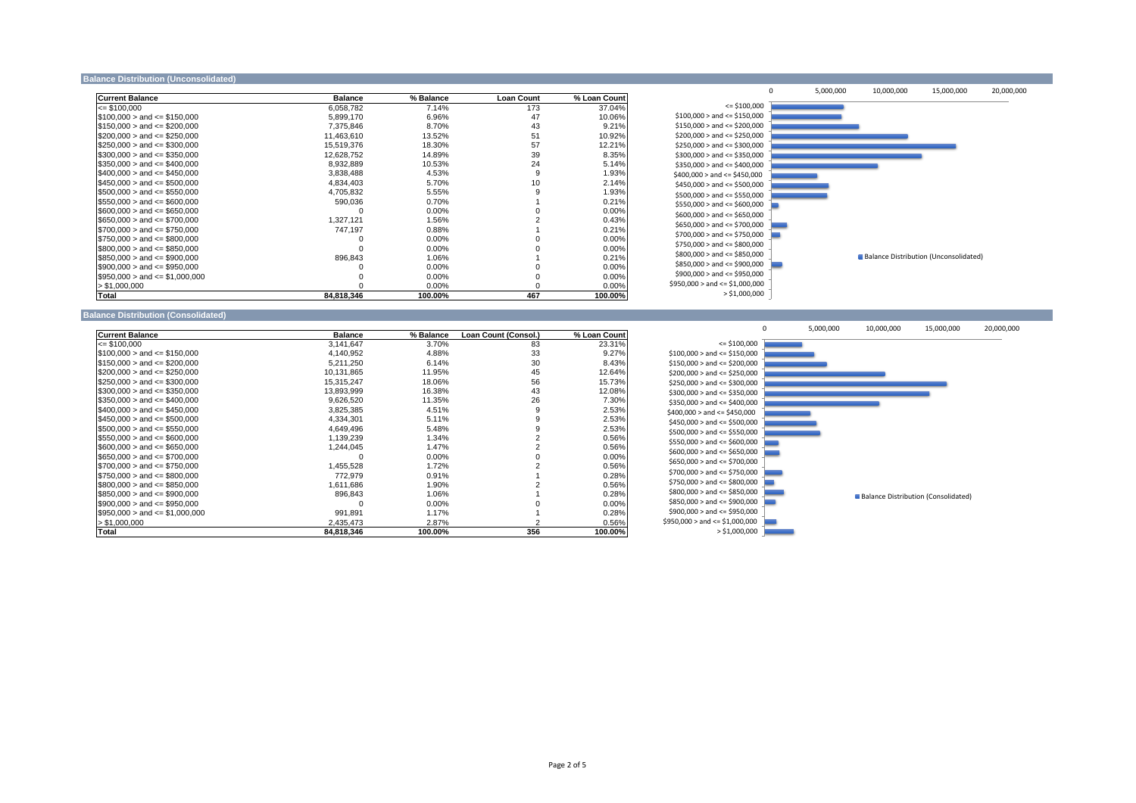### **Balance Distribution (Unconsolidated)**

| <b>Current Balance</b>             | <b>Balance</b> | % Balance | <b>Loan Count</b> | % Loan Count |
|------------------------------------|----------------|-----------|-------------------|--------------|
| $\leq$ \$100.000                   | 6,058,782      | 7.14%     | 173               | 37.04%       |
| $$100.000 >$ and $\leq$ \$150.000  | 5,899,170      | 6.96%     | 47                | 10.06%       |
| $$150.000 >$ and $\leq$ \$200.000  | 7.375.846      | 8.70%     | 43                | 9.21%        |
| $$200,000 >$ and $\leq$ \$250,000  | 11,463,610     | 13.52%    | 51                | 10.92%       |
| $$250.000 >$ and $\leq$ \$300.000  | 15.519.376     | 18.30%    | 57                | 12.21%       |
| $$300.000 >$ and $\leq$ \$350.000  | 12.628.752     | 14.89%    | 39                | 8.35%        |
| $$350,000 >$ and $\leq$ \$400,000  | 8,932,889      | 10.53%    | 24                | 5.14%        |
| $$400.000 >$ and $\leq$ \$450.000  | 3,838,488      | 4.53%     | 9                 | 1.93%        |
| $$450,000 >$ and $\leq$ \$500,000  | 4,834,403      | 5.70%     | 10                | 2.14%        |
| $$500.000 >$ and $\leq$ \$550.000  | 4,705,832      | 5.55%     | g                 | 1.93%        |
| $$550.000 >$ and $\leq$ \$600.000  | 590.036        | 0.70%     |                   | 0.21%        |
| $$600.000 >$ and $\leq$ \$650.000  | 0              | 0.00%     |                   | $0.00\%$     |
| $$650,000 >$ and $\leq$ \$700,000  | 1,327,121      | 1.56%     |                   | 0.43%        |
| $$700.000 >$ and $\leq$ \$750.000  | 747.197        | 0.88%     |                   | 0.21%        |
| $$750.000 >$ and $\leq$ \$800.000  |                | 0.00%     |                   | 0.00%        |
| $$800,000 >$ and $\leq$ \$850,000  |                | $0.00\%$  |                   | 0.00%        |
| $$850.000 >$ and $\leq$ \$900.000  | 896.843        | 1.06%     |                   | 0.21%        |
| $$900,000 >$ and $\leq$ \$950,000  |                | 0.00%     |                   | 0.00%        |
| $$950,000 >$ and $\leq $1,000,000$ |                | 0.00%     |                   | 0.00%        |
| > \$1.000.000                      |                | 0.00%     | $\Omega$          | $0.00\%$     |
| Total                              | 84.818.346     | 100.00%   | 467               | 100.00%      |



### **Balance Distribution (Consolidated)**

| <b>Current Balance</b>              | <b>Balance</b> | % Balance | Loan Count (Consol.) | % Loan Count |
|-------------------------------------|----------------|-----------|----------------------|--------------|
| $\leq$ \$100.000                    | 3,141,647      | 3.70%     | 83                   | 23.31%       |
| $$100,000 >$ and $\leq$ \$150,000   | 4,140,952      | 4.88%     | 33                   | 9.27%        |
| $$150.000 >$ and $\leq$ \$200.000   | 5.211.250      | 6.14%     | 30                   | 8.43%        |
| $$200.000 >$ and $\leq$ \$250.000   | 10,131,865     | 11.95%    | 45                   | 12.64%       |
| $$250.000 >$ and $\leq$ \$300.000   | 15.315.247     | 18.06%    | 56                   | 15.73%       |
| $$300,000 >$ and $\leq$ \$350,000   | 13,893,999     | 16.38%    | 43                   | 12.08%       |
| $$350.000 >$ and $\leq$ \$400.000   | 9,626,520      | 11.35%    | 26                   | 7.30%        |
| $$400,000 >$ and $\leq$ \$450,000   | 3,825,385      | 4.51%     | 9                    | 2.53%        |
| $$450,000 >$ and $\leq$ \$500,000   | 4,334,301      | 5.11%     | 9                    | 2.53%        |
| $$500.000 >$ and $\leq$ \$550.000   | 4.649.496      | 5.48%     | 9                    | 2.53%        |
| $$550,000 >$ and $\leq$ \$600,000   | 1,139,239      | 1.34%     |                      | 0.56%        |
| $$600,000 >$ and $\leq$ \$650,000   | 1.244.045      | 1.47%     |                      | 0.56%        |
| $$650,000 >$ and $\leq$ \$700,000   |                | $0.00\%$  |                      | $0.00\%$     |
| $$700.000 >$ and $\leq$ \$750.000   | 1,455,528      | 1.72%     |                      | 0.56%        |
| $$750,000 >$ and $\leq$ \$800,000   | 772.979        | 0.91%     |                      | 0.28%        |
| $$800,000 >$ and $\leq$ \$850,000   | 1,611,686      | 1.90%     |                      | 0.56%        |
| $$850.000 >$ and $\leq$ \$900.000   | 896,843        | 1.06%     |                      | 0.28%        |
| $$900,000 >$ and $\leq$ \$950,000   |                | 0.00%     |                      | 0.00%        |
| $$950.000 >$ and $\leq$ \$1.000.000 | 991.891        | 1.17%     |                      | 0.28%        |
| > \$1,000,000                       | 2,435,473      | 2.87%     |                      | 0.56%        |
| Total                               | 84,818,346     | 100.00%   | 356                  | 100.00%      |

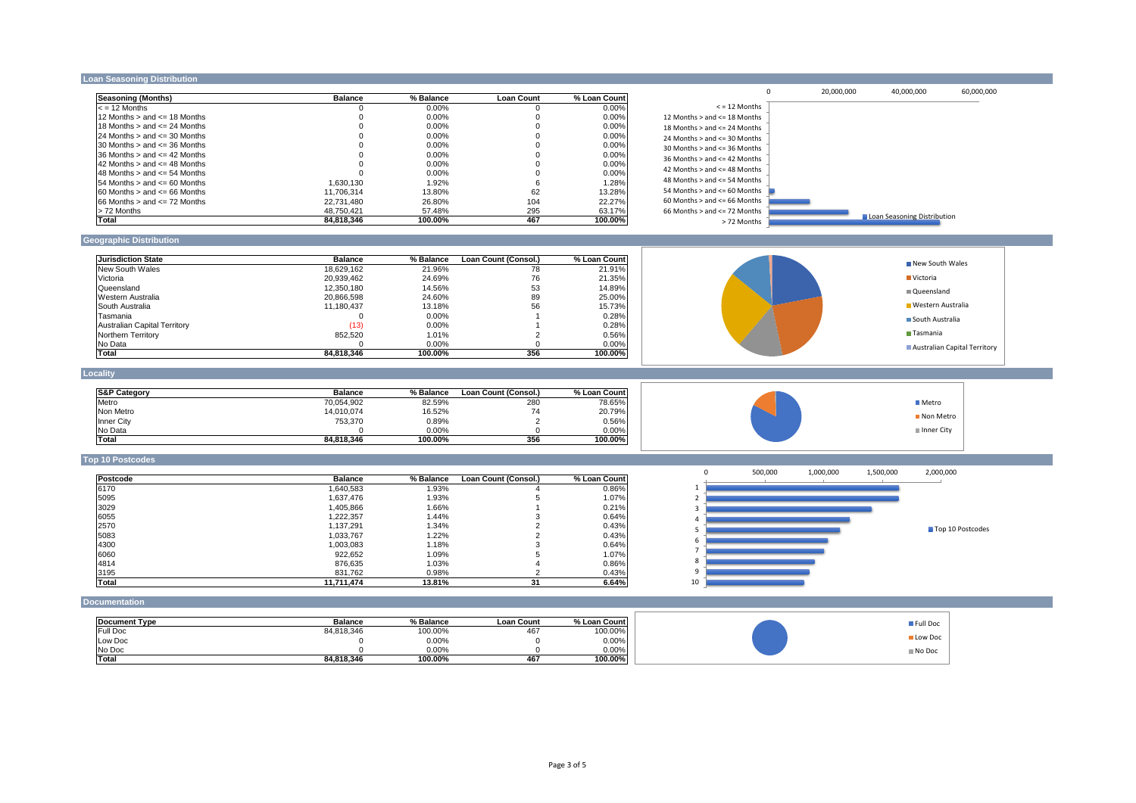## **Loan Seasoning Distribution**

| Seasoning (Months)                   | <b>Balance</b> | % Balance | <b>Loan Count</b> | % Loan Count |
|--------------------------------------|----------------|-----------|-------------------|--------------|
| $\leq$ = 12 Months                   |                | 0.00%     |                   | 0.00%        |
| 12 Months $>$ and $\leq$ 18 Months   |                | $0.00\%$  |                   | $0.00\%$     |
| 18 Months $>$ and $\leq$ 24 Months   |                | $0.00\%$  |                   | 0.00%        |
| 24 Months $>$ and $\leq$ 30 Months   |                | $0.00\%$  |                   | 0.00%        |
| $30$ Months $>$ and $\leq$ 36 Months |                | $0.00\%$  |                   | 0.00%        |
| $36$ Months $>$ and $\leq$ 42 Months |                | $0.00\%$  |                   | 0.00%        |
| 42 Months $>$ and $\leq$ 48 Months   |                | $0.00\%$  |                   | 0.00%        |
| 48 Months $>$ and $\leq$ 54 Months   |                | $0.00\%$  |                   | 0.00%        |
| $54$ Months $>$ and $\leq 60$ Months | 1.630.130      | 1.92%     |                   | 1.28%        |
| $60$ Months $>$ and $\leq$ 66 Months | 11.706.314     | 13.80%    | 62                | 13.28%       |
| $66$ Months $>$ and $\leq$ 72 Months | 22.731.480     | 26.80%    | 104               | 22.27%       |
| > 72 Months                          | 48.750.421     | 57.48%    | 295               | 63.17%       |
| Total                                | 84.818.346     | 100.00%   | 467               | 100.00%      |

|                                                                                                                                                                                                                                                                                                                                                                                                                        | $\Omega$ | 20,000,000 | 40,000,000                  | 60,000,000 |
|------------------------------------------------------------------------------------------------------------------------------------------------------------------------------------------------------------------------------------------------------------------------------------------------------------------------------------------------------------------------------------------------------------------------|----------|------------|-----------------------------|------------|
| $\le$ = 12 Months<br>12 Months $>$ and $\leq$ 18 Months<br>18 Months $>$ and $\leq$ 24 Months<br>24 Months $>$ and $\leq$ 30 Months<br>30 Months $>$ and $\leq$ 36 Months<br>36 Months $>$ and $\leq$ 42 Months<br>42 Months $>$ and $\leq$ 48 Months<br>48 Months $>$ and $\leq$ 54 Months<br>54 Months $>$ and $\leq$ 60 Months<br>60 Months $>$ and $\leq$ 66 Months<br>66 Months > and <= 72 Months<br>> 72 Months |          |            | Loan Seasoning Distribution |            |
|                                                                                                                                                                                                                                                                                                                                                                                                                        |          |            |                             |            |

## **Geographic Distribution**

| <b>Jurisdiction State</b>    | <b>Balance</b> | % Balance | Loan Count (Consol.) | % Loan Count |
|------------------------------|----------------|-----------|----------------------|--------------|
| New South Wales              | 18.629.162     | 21.96%    | 78                   | 21.91%       |
| Victoria                     | 20.939.462     | 24.69%    | 76                   | 21.35%       |
| Queensland                   | 12.350.180     | 14.56%    | 53                   | 14.89%       |
| Western Australia            | 20.866.598     | 24.60%    | 89                   | 25.00%       |
| South Australia              | 11.180.437     | 13.18%    | 56                   | 15.73%       |
| Tasmania                     |                | 0.00%     |                      | 0.28%        |
| Australian Capital Territory | (13)           | $0.00\%$  |                      | 0.28%        |
| Northern Territory           | 852.520        | 1.01%     |                      | 0.56%        |
| No Data                      |                | $0.00\%$  |                      | 0.00%        |
| <b>Total</b>                 | 84.818.346     | 100.00%   | 356                  | 100.00%      |



■ Metro Non Metro Inner City

# **Locality**

| <b>S&amp;P Category</b> | <b>Balance</b> | % Balance | Loan Count (Consol.) | % Loan Count |
|-------------------------|----------------|-----------|----------------------|--------------|
| Metro                   | 70.054.902     | 82.59%    | 280                  | 78.65%       |
| Non Metro               | 14.010.074     | 16.52%    |                      | 20.79%       |
| Inner City              | 753.370        | 0.89%     |                      | 0.56%        |
| No Data                 |                | $0.00\%$  |                      | 0.00%        |
| Total                   | 84.818.346     | 100.00%   | 356                  | 100.00%      |

# **Top 10 Postcodes**

| Postcode | <b>Balance</b> | % Balance | Loan Count (Consol.) | % Loan Count |
|----------|----------------|-----------|----------------------|--------------|
| 6170     | 1,640,583      | 1.93%     | 4                    | 0.86%        |
| 5095     | 1.637.476      | 1.93%     | 5                    | 1.07%        |
| 3029     | 1,405,866      | 1.66%     |                      | 0.21%        |
| 6055     | 1.222.357      | 1.44%     |                      | 0.64%        |
| 2570     | 1.137.291      | 1.34%     |                      | 0.43%        |
| 5083     | 1.033.767      | 1.22%     |                      | 0.43%        |
| 4300     | 1.003.083      | 1.18%     |                      | 0.64%        |
| 6060     | 922.652        | 1.09%     | 5                    | 1.07%        |
| 4814     | 876.635        | 1.03%     | 4                    | 0.86%        |
| 3195     | 831.762        | 0.98%     |                      | 0.43%        |
| Total    | 11.711.474     | 13.81%    | 31                   | 6.64%        |



### **Documentation**

| Document Type   | <b>Balance</b> | % Balance       | <b>Loan Count</b> | % Loan Count |
|-----------------|----------------|-----------------|-------------------|--------------|
| <b>Full Doc</b> | 84.818.346     | 100.00%         |                   | 100.00%      |
| Low Doc         |                | 0.00%<br>$   -$ |                   | 0.00%        |
| No Doc          |                | 0.00%           |                   | 0.00%        |
| Total           | 84.818.346     | 100.00%         |                   | 100.00%      |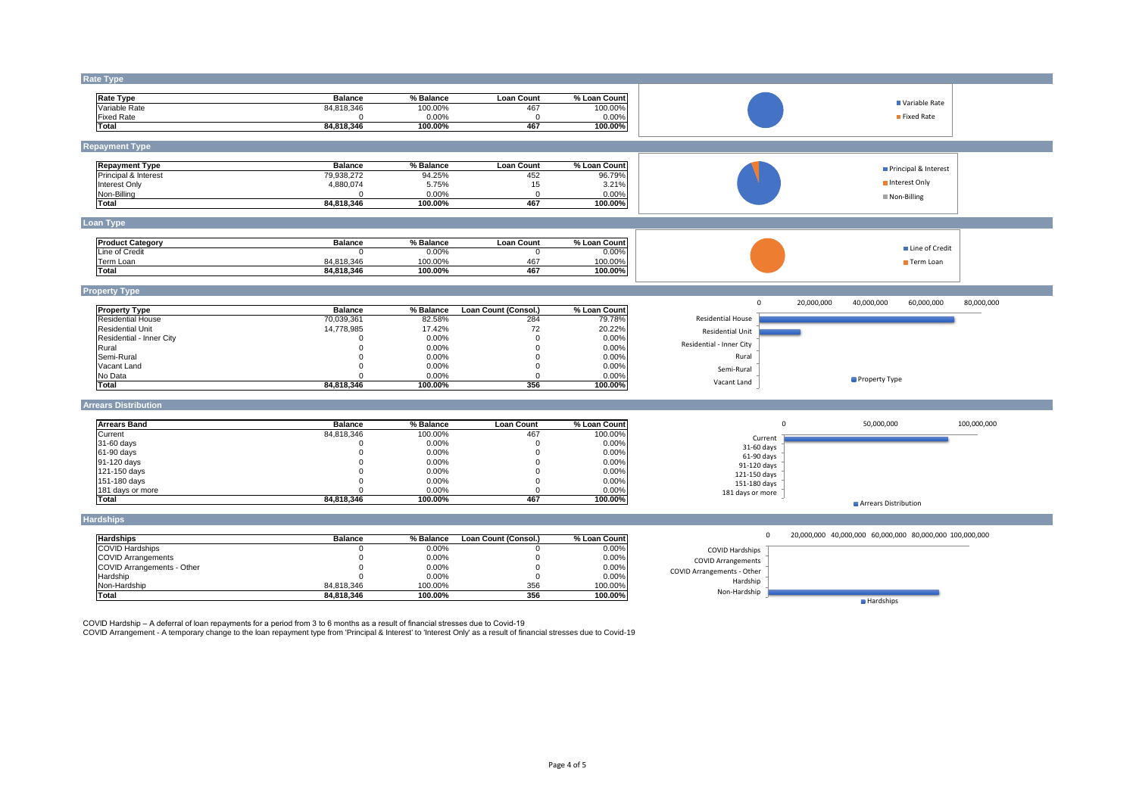| <b>Rate Type</b>                                                                                                                                                                                                                                                                                       |                |           |                      |              |                                                                        |
|--------------------------------------------------------------------------------------------------------------------------------------------------------------------------------------------------------------------------------------------------------------------------------------------------------|----------------|-----------|----------------------|--------------|------------------------------------------------------------------------|
|                                                                                                                                                                                                                                                                                                        |                |           |                      |              |                                                                        |
| <b>Rate Type</b>                                                                                                                                                                                                                                                                                       | <b>Balance</b> | % Balance | <b>Loan Count</b>    | % Loan Count | Variable Rate                                                          |
| Variable Rate                                                                                                                                                                                                                                                                                          | 84,818,346     | 100.00%   | 467                  | 100.00%      |                                                                        |
| <b>Fixed Rate</b>                                                                                                                                                                                                                                                                                      | $\Omega$       | 0.00%     | $\overline{0}$       | 0.00%        | Fixed Rate                                                             |
| <b>Total</b>                                                                                                                                                                                                                                                                                           | 84,818,346     | 100.00%   | 467                  | 100.00%      |                                                                        |
| <b>Repayment Type</b>                                                                                                                                                                                                                                                                                  |                |           |                      |              |                                                                        |
|                                                                                                                                                                                                                                                                                                        |                |           |                      |              |                                                                        |
| <b>Repayment Type</b>                                                                                                                                                                                                                                                                                  | <b>Balance</b> | % Balance | <b>Loan Count</b>    | % Loan Count | Principal & Interest                                                   |
| Principal & Interest                                                                                                                                                                                                                                                                                   | 79,938,272     | 94.25%    | 452                  | 96.79%       |                                                                        |
| Interest Only                                                                                                                                                                                                                                                                                          | 4,880,074      | 5.75%     | 15                   | 3.21%        | Interest Only                                                          |
| Non-Billing                                                                                                                                                                                                                                                                                            | $\Omega$       | 0.00%     | $\mathbf{0}$         | 0.00%        | Non-Billing                                                            |
| Total                                                                                                                                                                                                                                                                                                  | 84,818,346     | 100.00%   | 467                  | 100.00%      |                                                                        |
| Loan Type                                                                                                                                                                                                                                                                                              |                |           |                      |              |                                                                        |
|                                                                                                                                                                                                                                                                                                        |                |           |                      |              |                                                                        |
| <b>Product Category</b>                                                                                                                                                                                                                                                                                | <b>Balance</b> | % Balance | <b>Loan Count</b>    | % Loan Count | <b>■ Line of Credit</b>                                                |
| Line of Credit                                                                                                                                                                                                                                                                                         | $\Omega$       | 0.00%     | $\Omega$             | 0.00%        |                                                                        |
| Term Loan                                                                                                                                                                                                                                                                                              | 84,818,346     | 100.00%   | 467                  | 100.00%      | Term Loan                                                              |
| Total                                                                                                                                                                                                                                                                                                  | 84,818,346     | 100.00%   | 467                  | 100.00%      |                                                                        |
| <b>Property Type</b>                                                                                                                                                                                                                                                                                   |                |           |                      |              |                                                                        |
|                                                                                                                                                                                                                                                                                                        |                |           |                      |              | $\mathsf 0$<br>20,000,000<br>80,000,000<br>40,000,000<br>60,000,000    |
| <b>Property Type</b>                                                                                                                                                                                                                                                                                   | <b>Balance</b> | % Balance | Loan Count (Consol.) | % Loan Count |                                                                        |
| <b>Residential House</b>                                                                                                                                                                                                                                                                               | 70,039,361     | 82.58%    | 284                  | 79.78%       | <b>Residential House</b>                                               |
| <b>Residential Unit</b>                                                                                                                                                                                                                                                                                | 14,778,985     | 17.42%    | 72                   | 20.22%       | <b>Residential Unit</b>                                                |
| Residential - Inner City                                                                                                                                                                                                                                                                               | $\Omega$       | 0.00%     | $\mathbf 0$          | 0.00%        | Residential - Inner City                                               |
| Rural                                                                                                                                                                                                                                                                                                  | $\Omega$       | 0.00%     | $\Omega$             | 0.00%        |                                                                        |
| Semi-Rural                                                                                                                                                                                                                                                                                             | $\Omega$       | 0.00%     | $\Omega$             | 0.00%        | Rural                                                                  |
| Vacant Land                                                                                                                                                                                                                                                                                            | $\mathbf 0$    | 0.00%     | $\mathbf 0$          | 0.00%        | Semi-Rural                                                             |
| No Data                                                                                                                                                                                                                                                                                                | $\Omega$       | 0.00%     | $\Omega$             | 0.00%        | Property Type                                                          |
| Total                                                                                                                                                                                                                                                                                                  | 84,818,346     | 100.00%   | 356                  | 100.00%      | Vacant Land                                                            |
| <b>Arrears Distribution</b>                                                                                                                                                                                                                                                                            |                |           |                      |              |                                                                        |
| <b>Arrears Band</b>                                                                                                                                                                                                                                                                                    | <b>Balance</b> | % Balance | <b>Loan Count</b>    | % Loan Count | $\mathsf 0$<br>50,000,000<br>100,000,000                               |
|                                                                                                                                                                                                                                                                                                        |                |           |                      |              |                                                                        |
| Current                                                                                                                                                                                                                                                                                                | 84,818,346     | 100.00%   | 467                  | 100.00%      | Current                                                                |
| 31-60 days                                                                                                                                                                                                                                                                                             | $\Omega$       | 0.00%     | $\mathbf 0$          | 0.00%        | 31-60 days                                                             |
| 61-90 days                                                                                                                                                                                                                                                                                             | $\Omega$       | 0.00%     | $\Omega$             | 0.00%        | 61-90 days                                                             |
| 91-120 days                                                                                                                                                                                                                                                                                            | $\Omega$       | 0.00%     | $\Omega$             | 0.00%        | 91-120 days                                                            |
| 121-150 days                                                                                                                                                                                                                                                                                           | $\Omega$       | 0.00%     | $\Omega$             | 0.00%        | 121-150 days                                                           |
| 151-180 days                                                                                                                                                                                                                                                                                           | $\Omega$       | 0.00%     | $\Omega$             | 0.00%        | 151-180 days                                                           |
| 181 days or more                                                                                                                                                                                                                                                                                       | $\Omega$       | 0.00%     | $\Omega$             | 0.00%        | 181 days or more                                                       |
| Total                                                                                                                                                                                                                                                                                                  | 84,818,346     | 100.00%   | 467                  | 100.00%      | Arrears Distribution                                                   |
| <b>Hardships</b>                                                                                                                                                                                                                                                                                       |                |           |                      |              |                                                                        |
| <b>Hardships</b>                                                                                                                                                                                                                                                                                       | <b>Balance</b> | % Balance | Loan Count (Consol.) | % Loan Count | 20,000,000 40,000,000 60,000,000 80,000,000 100,000,000<br>$\mathbf 0$ |
| <b>COVID Hardships</b>                                                                                                                                                                                                                                                                                 | $\Omega$       | 0.00%     | 0                    | 0.00%        |                                                                        |
| <b>COVID Arrangements</b>                                                                                                                                                                                                                                                                              | $\Omega$       | 0.00%     | $\Omega$             | 0.00%        | <b>COVID Hardships</b>                                                 |
| COVID Arrangements - Other                                                                                                                                                                                                                                                                             | $\Omega$       | 0.00%     | $\mathbf 0$          | 0.00%        | <b>COVID Arrangements</b>                                              |
| Hardship                                                                                                                                                                                                                                                                                               | $\Omega$       | 0.00%     | $\mathbf 0$          | 0.00%        | COVID Arrangements - Other                                             |
| Non-Hardship                                                                                                                                                                                                                                                                                           | 84,818,346     | 100.00%   | 356                  | 100.00%      | Hardship                                                               |
| Total                                                                                                                                                                                                                                                                                                  | 84,818,346     | 100.00%   | 356                  | 100.00%      | Non-Hardship                                                           |
|                                                                                                                                                                                                                                                                                                        |                |           |                      |              | <b>Hardships</b>                                                       |
| COVID Hardship - A deferral of loan repayments for a period from 3 to 6 months as a result of financial stresses due to Covid-19<br>COVID Arrangement - A temporary change to the loan repayment type from 'Principal & Interest' to 'Interest Only' as a result of financial stresses due to Covid-19 |                |           |                      |              |                                                                        |
|                                                                                                                                                                                                                                                                                                        |                |           |                      |              |                                                                        |